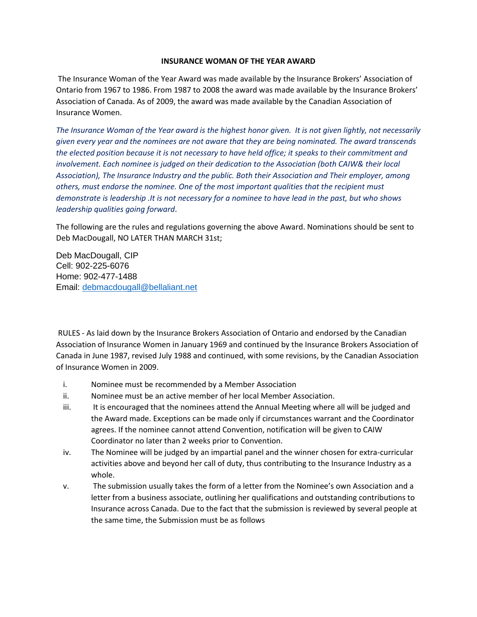## **INSURANCE WOMAN OF THE YEAR AWARD**

The Insurance Woman of the Year Award was made available by the Insurance Brokers' Association of Ontario from 1967 to 1986. From 1987 to 2008 the award was made available by the Insurance Brokers' Association of Canada. As of 2009, the award was made available by the Canadian Association of Insurance Women.

*The Insurance Woman of the Year award is the highest honor given. It is not given lightly, not necessarily given every year and the nominees are not aware that they are being nominated. The award transcends the elected position because it is not necessary to have held office; it speaks to their commitment and involvement. Each nominee is judged on their dedication to the Association (both CAIW& their local Association), The Insurance Industry and the public. Both their Association and Their employer, among others, must endorse the nominee. One of the most important qualities that the recipient must demonstrate is leadership .It is not necessary for a nominee to have lead in the past, but who shows leadership qualities going forward*.

The following are the rules and regulations governing the above Award. Nominations should be sent to Deb MacDougall, NO LATER THAN MARCH 31st;

Deb MacDougall, CIP Cell: 902-225-6076 Home: 902-477-1488 Email: [debmacdougall@bellaliant.net](mailto:debmacdougall@bellaliant.net)

RULES - As laid down by the Insurance Brokers Association of Ontario and endorsed by the Canadian Association of Insurance Women in January 1969 and continued by the Insurance Brokers Association of Canada in June 1987, revised July 1988 and continued, with some revisions, by the Canadian Association of Insurance Women in 2009.

- i. Nominee must be recommended by a Member Association
- ii. Nominee must be an active member of her local Member Association.
- iii. It is encouraged that the nominees attend the Annual Meeting where all will be judged and the Award made. Exceptions can be made only if circumstances warrant and the Coordinator agrees. If the nominee cannot attend Convention, notification will be given to CAIW Coordinator no later than 2 weeks prior to Convention.
- iv. The Nominee will be judged by an impartial panel and the winner chosen for extra-curricular activities above and beyond her call of duty, thus contributing to the Insurance Industry as a whole.
- v. The submission usually takes the form of a letter from the Nominee's own Association and a letter from a business associate, outlining her qualifications and outstanding contributions to Insurance across Canada. Due to the fact that the submission is reviewed by several people at the same time, the Submission must be as follows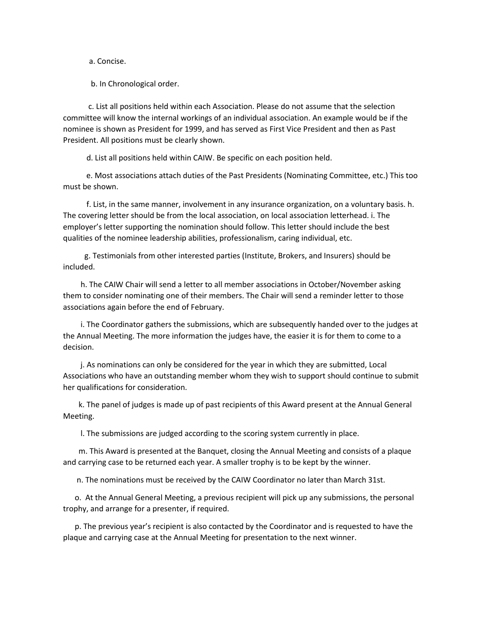a. Concise.

b. In Chronological order.

 c. List all positions held within each Association. Please do not assume that the selection committee will know the internal workings of an individual association. An example would be if the nominee is shown as President for 1999, and has served as First Vice President and then as Past President. All positions must be clearly shown.

d. List all positions held within CAIW. Be specific on each position held.

 e. Most associations attach duties of the Past Presidents (Nominating Committee, etc.) This too must be shown.

 f. List, in the same manner, involvement in any insurance organization, on a voluntary basis. h. The covering letter should be from the local association, on local association letterhead. i. The employer's letter supporting the nomination should follow. This letter should include the best qualities of the nominee leadership abilities, professionalism, caring individual, etc.

 g. Testimonials from other interested parties (Institute, Brokers, and Insurers) should be included.

 h. The CAIW Chair will send a letter to all member associations in October/November asking them to consider nominating one of their members. The Chair will send a reminder letter to those associations again before the end of February.

 i. The Coordinator gathers the submissions, which are subsequently handed over to the judges at the Annual Meeting. The more information the judges have, the easier it is for them to come to a decision.

 j. As nominations can only be considered for the year in which they are submitted, Local Associations who have an outstanding member whom they wish to support should continue to submit her qualifications for consideration.

 k. The panel of judges is made up of past recipients of this Award present at the Annual General Meeting.

l. The submissions are judged according to the scoring system currently in place.

 m. This Award is presented at the Banquet, closing the Annual Meeting and consists of a plaque and carrying case to be returned each year. A smaller trophy is to be kept by the winner.

n. The nominations must be received by the CAIW Coordinator no later than March 31st.

 o. At the Annual General Meeting, a previous recipient will pick up any submissions, the personal trophy, and arrange for a presenter, if required.

 p. The previous year's recipient is also contacted by the Coordinator and is requested to have the plaque and carrying case at the Annual Meeting for presentation to the next winner.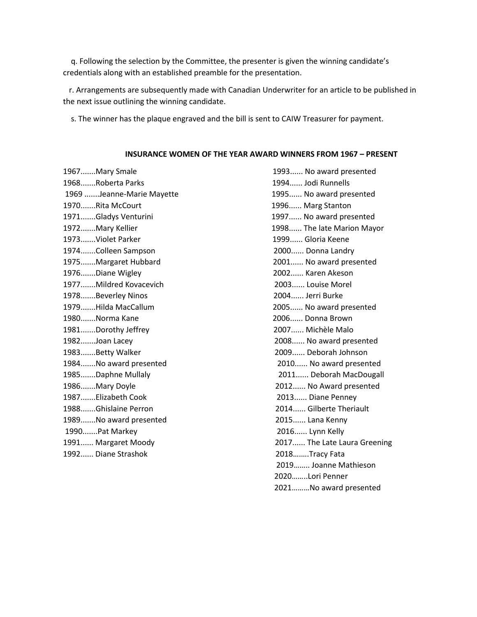q. Following the selection by the Committee, the presenter is given the winning candidate's credentials along with an established preamble for the presentation.

 r. Arrangements are subsequently made with Canadian Underwriter for an article to be published in the next issue outlining the winning candidate.

s. The winner has the plaque engraved and the bill is sent to CAIW Treasurer for payment.

## **INSURANCE WOMEN OF THE YEAR AWARD WINNERS FROM 1967 – PRESENT**

1968.......Roberta Parks 1994...... Jodi Runnells 1969 .......Jeanne-Marie Mayette 1995...... No award presented 1970.......Rita McCourt 1996...... Marg Stanton 1971.......Gladys Venturini 1997...... No award presented 1972.......Mary Kellier 1998...... The late Marion Mayor 1973.......Violet Parker 1999...... Gloria Keene 1974.......Colleen Sampson 2000...... Donna Landry 1975.......Margaret Hubbard 2001...... No award presented 1976.......Diane Wigley 2002...... Karen Akeson 1977.......Mildred Kovacevich 2003...... Louise Morel 1978.......Beverley Ninos 2004...... Jerri Burke 1979.......Hilda MacCallum 2005...... No award presented 1980.......Norma Kane 2006...... Donna Brown 1981.......Dorothy Jeffrey 2007...... Michèle Malo 1982.......Joan Lacey 2008...... No award presented 1983.......Betty Walker 2009...... Deborah Johnson 1984.......No award presented 2010...... No award presented 1985.......Daphne Mullaly 2011...... Deborah MacDougall 1986.......Mary Doyle 2012...... No Award presented 1987.......Elizabeth Cook 2013...... Diane Penney 1988.......Ghislaine Perron 2014...... Gilberte Theriault 1989.......No award presented 2015...... Lana Kenny 1990.......Pat Markey 2016...... Lynn Kelly 1992...... Diane Strashok 2018….….Tracy Fata

1967.......Mary Smale 1993...... No award presented 1991...... Margaret Moody 2017...... The Late Laura Greening 2019…….. Joanne Mathieson 2020……..Lori Penner 2021………No award presented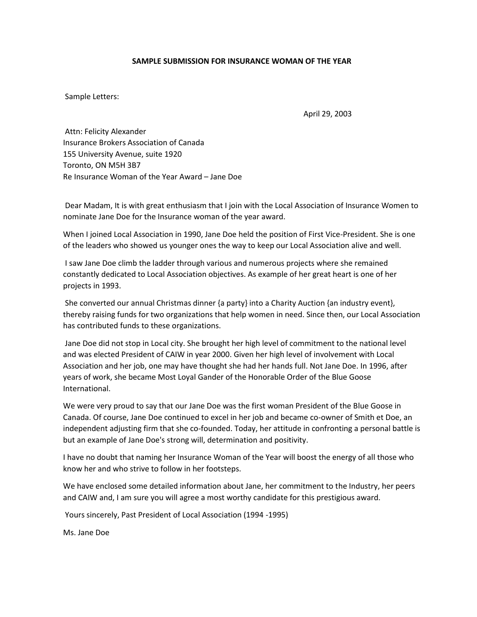## **SAMPLE SUBMISSION FOR INSURANCE WOMAN OF THE YEAR**

Sample Letters:

April 29, 2003

Attn: Felicity Alexander Insurance Brokers Association of Canada 155 University Avenue, suite 1920 Toronto, ON M5H 3B7 Re Insurance Woman of the Year Award – Jane Doe

Dear Madam, It is with great enthusiasm that I join with the Local Association of Insurance Women to nominate Jane Doe for the Insurance woman of the year award.

When I joined Local Association in 1990, Jane Doe held the position of First Vice-President. She is one of the leaders who showed us younger ones the way to keep our Local Association alive and well.

I saw Jane Doe climb the ladder through various and numerous projects where she remained constantly dedicated to Local Association objectives. As example of her great heart is one of her projects in 1993.

She converted our annual Christmas dinner {a party} into a Charity Auction {an industry event}, thereby raising funds for two organizations that help women in need. Since then, our Local Association has contributed funds to these organizations.

Jane Doe did not stop in Local city. She brought her high level of commitment to the national level and was elected President of CAIW in year 2000. Given her high level of involvement with Local Association and her job, one may have thought she had her hands full. Not Jane Doe. In 1996, after years of work, she became Most Loyal Gander of the Honorable Order of the Blue Goose International.

We were very proud to say that our Jane Doe was the first woman President of the Blue Goose in Canada. Of course, Jane Doe continued to excel in her job and became co-owner of Smith et Doe, an independent adjusting firm that she co-founded. Today, her attitude in confronting a personal battle is but an example of Jane Doe's strong will, determination and positivity.

I have no doubt that naming her Insurance Woman of the Year will boost the energy of all those who know her and who strive to follow in her footsteps.

We have enclosed some detailed information about Jane, her commitment to the Industry, her peers and CAIW and, I am sure you will agree a most worthy candidate for this prestigious award.

Yours sincerely, Past President of Local Association (1994 -1995)

Ms. Jane Doe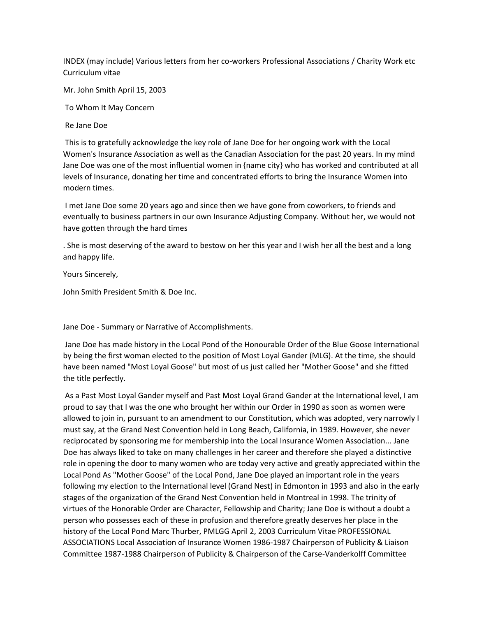INDEX (may include) Various letters from her co-workers Professional Associations / Charity Work etc Curriculum vitae

Mr. John Smith April 15, 2003

To Whom It May Concern

Re Jane Doe

This is to gratefully acknowledge the key role of Jane Doe for her ongoing work with the Local Women's Insurance Association as well as the Canadian Association for the past 20 years. In my mind Jane Doe was one of the most influential women in {name city} who has worked and contributed at all levels of Insurance, donating her time and concentrated efforts to bring the Insurance Women into modern times.

I met Jane Doe some 20 years ago and since then we have gone from coworkers, to friends and eventually to business partners in our own Insurance Adjusting Company. Without her, we would not have gotten through the hard times

. She is most deserving of the award to bestow on her this year and I wish her all the best and a long and happy life.

Yours Sincerely,

John Smith President Smith & Doe Inc.

Jane Doe - Summary or Narrative of Accomplishments.

Jane Doe has made history in the Local Pond of the Honourable Order of the Blue Goose International by being the first woman elected to the position of Most Loyal Gander (MLG). At the time, she should have been named "Most Loyal Goose" but most of us just called her "Mother Goose" and she fitted the title perfectly.

As a Past Most Loyal Gander myself and Past Most Loyal Grand Gander at the International level, I am proud to say that I was the one who brought her within our Order in 1990 as soon as women were allowed to join in, pursuant to an amendment to our Constitution, which was adopted, very narrowly I must say, at the Grand Nest Convention held in Long Beach, California, in 1989. However, she never reciprocated by sponsoring me for membership into the Local Insurance Women Association... Jane Doe has always liked to take on many challenges in her career and therefore she played a distinctive role in opening the door to many women who are today very active and greatly appreciated within the Local Pond As "Mother Goose" of the Local Pond, Jane Doe played an important role in the years following my election to the International level (Grand Nest) in Edmonton in 1993 and also in the early stages of the organization of the Grand Nest Convention held in Montreal in 1998. The trinity of virtues of the Honorable Order are Character, Fellowship and Charity; Jane Doe is without a doubt a person who possesses each of these in profusion and therefore greatly deserves her place in the history of the Local Pond Marc Thurber, PMLGG April 2, 2003 Curriculum Vitae PROFESSIONAL ASSOCIATIONS Local Association of Insurance Women 1986-1987 Chairperson of Publicity & Liaison Committee 1987-1988 Chairperson of Publicity & Chairperson of the Carse-Vanderkolff Committee